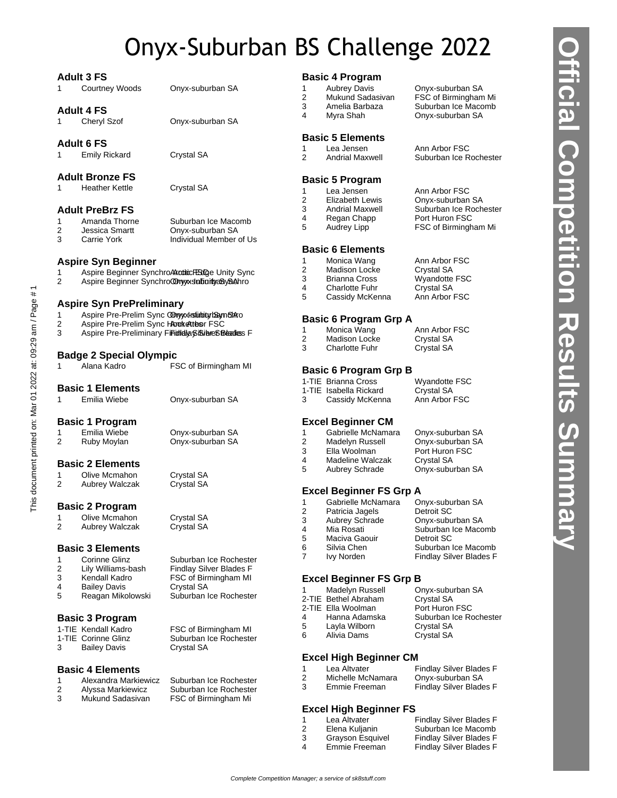# Onyx-Suburban BS Challenge 2022

|        | <b>Adult 3 FS</b>                               |                                                    |                                | <b>Basic 4 Program</b>                        |                                          |
|--------|-------------------------------------------------|----------------------------------------------------|--------------------------------|-----------------------------------------------|------------------------------------------|
| 1      | <b>Courtney Woods</b>                           | Onyx-suburban SA                                   | 1                              | <b>Aubrey Davis</b>                           | Onyx-suburban SA                         |
|        |                                                 |                                                    | $\overline{2}$                 | Mukund Sadasivan                              | FSC of Birmingham Mi                     |
|        | <b>Adult 4 FS</b>                               |                                                    | 3                              | Amelia Barbaza                                | Suburban Ice Macomb                      |
| 1      | Cheryl Szof                                     | Onyx-suburban SA                                   | 4                              | Myra Shah                                     | Onyx-suburban SA                         |
|        |                                                 |                                                    |                                |                                               |                                          |
|        | <b>Adult 6 FS</b>                               |                                                    |                                | <b>Basic 5 Elements</b>                       |                                          |
| 1.     | <b>Emily Rickard</b>                            | Crystal SA                                         | $\mathbf{1}$                   | Lea Jensen                                    | Ann Arbor FSC                            |
|        |                                                 |                                                    | 2                              | <b>Andrial Maxwell</b>                        | Suburban Ice Rochester                   |
|        | <b>Adult Bronze FS</b>                          |                                                    |                                | <b>Basic 5 Program</b>                        |                                          |
| 1.     | <b>Heather Kettle</b>                           | Crystal SA                                         | 1                              | Lea Jensen                                    | Ann Arbor FSC                            |
|        |                                                 |                                                    | 2                              | Elizabeth Lewis                               | Onyx-suburban SA                         |
|        | <b>Adult PreBrz FS</b>                          |                                                    | 3                              | <b>Andrial Maxwell</b>                        | Suburban Ice Rochester                   |
| 1      | Amanda Thorne                                   | Suburban Ice Macomb                                | 4                              | Regan Chapp                                   | Port Huron FSC                           |
| 2      | Jessica Smartt                                  | Onyx-suburban SA                                   | 5                              | Audrey Lipp                                   | FSC of Birmingham Mi                     |
| 3      | Carrie York                                     | Individual Member of Us                            |                                |                                               |                                          |
|        |                                                 |                                                    |                                | <b>Basic 6 Elements</b>                       |                                          |
|        | <b>Aspire Syn Beginner</b>                      |                                                    | 1                              | Monica Wang                                   | Ann Arbor FSC                            |
| 1.     |                                                 | Aspire Beginner SynchroAkaditicFBGge Unity Sync    | $\overline{2}$                 | <b>Madison Locke</b>                          | Crystal SA                               |
| 2      |                                                 | Aspire Beginner Synchro@nyxsdabaitya8y8Ahro        | 3                              | <b>Brianna Cross</b>                          | Wyandotte FSC                            |
|        |                                                 |                                                    | 4<br>5                         | <b>Charlotte Fuhr</b><br>Cassidy McKenna      | Crystal SA<br>Ann Arbor FSC              |
|        | <b>Aspire Syn PrePreliminary</b>                |                                                    |                                |                                               |                                          |
| 1      | Aspire Pre-Prelim Sync ODnyyxhstubity bayn SAro |                                                    |                                |                                               |                                          |
| 2      | Aspire Pre-Prelim Sync Hookettesr FSC           |                                                    |                                | <b>Basic 6 Program Grp A</b>                  |                                          |
| 3      |                                                 | Aspire Pre-Preliminary Finididia®iBibreSBeadless F | $\mathbf{1}$<br>$\overline{2}$ | Monica Wang                                   | Ann Arbor FSC<br>Crystal SA              |
|        |                                                 |                                                    | 3                              | <b>Madison Locke</b><br><b>Charlotte Fuhr</b> | Crystal SA                               |
|        | <b>Badge 2 Special Olympic</b>                  |                                                    |                                |                                               |                                          |
| 1      | Alana Kadro                                     | FSC of Birmingham MI                               |                                | <b>Basic 6 Program Grp B</b>                  |                                          |
|        |                                                 |                                                    |                                | 1-TIE Brianna Cross                           | Wyandotte FSC                            |
|        | <b>Basic 1 Elements</b>                         |                                                    |                                | 1-TIE Isabella Rickard                        | Crystal SA                               |
| 1.     | Emilia Wiebe                                    | Onyx-suburban SA                                   | 3                              | Cassidy McKenna                               | Ann Arbor FSC                            |
|        | <b>Basic 1 Program</b>                          |                                                    |                                | <b>Excel Beginner CM</b>                      |                                          |
| 1      | Emilia Wiebe                                    | Onyx-suburban SA                                   | 1                              | Gabrielle McNamara                            | Onyx-suburban SA                         |
| 2      | Ruby Moylan                                     | Onyx-suburban SA                                   | $\overline{\mathbf{c}}$        | Madelyn Russell                               | Onyx-suburban SA                         |
|        |                                                 |                                                    | 3                              | Ella Woolman                                  | Port Huron FSC                           |
|        | <b>Basic 2 Elements</b>                         |                                                    | 4                              | Madeline Walczak                              | Crystal SA                               |
|        |                                                 |                                                    | 5                              | Aubrey Schrade                                | Onyx-suburban SA                         |
| 1<br>2 | Olive Mcmahon<br>Aubrey Walczak                 | Crystal SA<br>Crystal SA                           |                                |                                               |                                          |
|        |                                                 |                                                    |                                | <b>Excel Beginner FS Grp A</b>                |                                          |
|        | <b>Basic 2 Program</b>                          |                                                    | 1                              | Gabrielle McNamara                            | Onyx-suburban SA                         |
|        |                                                 |                                                    | 2                              | Patricia Jagels                               | Detroit SC                               |
|        | 1 Olive Mcmahon                                 | Crystal SA                                         | 3                              | <b>Aubrey Schrade</b>                         | Onyx-suburban SA                         |
| 2      | Aubrey Walczak                                  | Crystal SA                                         | 4                              | Mia Rosati                                    | Suburban Ice Macomb                      |
|        |                                                 |                                                    | 5                              | Maciva Gaouir                                 | Detroit SC                               |
|        | <b>Basic 3 Elements</b>                         |                                                    | 6<br>7                         | Silvia Chen<br>Ivy Norden                     | Suburban Ice Macomb                      |
| 1      | <b>Corinne Glinz</b>                            | Suburban Ice Rochester                             |                                |                                               | Findlay Silver Blades F                  |
| 2      | Lily Williams-bash                              | <b>Findlay Silver Blades F</b>                     |                                |                                               |                                          |
| 3<br>4 | Kendall Kadro<br><b>Bailey Davis</b>            | FSC of Birmingham MI<br>Crystal SA                 |                                | <b>Excel Beginner FS Grp B</b>                |                                          |
| 5      | Reagan Mikolowski                               | Suburban Ice Rochester                             | 1                              | Madelyn Russell                               | Onyx-suburban SA                         |
|        |                                                 |                                                    |                                | 2-TIE Bethel Abraham                          | Crystal SA                               |
|        |                                                 |                                                    |                                | 2-TIE Ella Woolman<br>Hanna Adamska           | Port Huron FSC<br>Suburban Ice Rochester |
|        | <b>Basic 3 Program</b>                          |                                                    | 4<br>5                         | Layla Wilborn                                 | Crystal SA                               |
|        | 1-TIE Kendall Kadro                             | FSC of Birmingham MI                               | 6                              | Alivia Dams                                   | Crystal SA                               |
| 3      | 1-TIE Corinne Glinz<br><b>Bailey Davis</b>      | Suburban Ice Rochester<br>Crystal SA               |                                |                                               |                                          |
|        |                                                 |                                                    |                                | <b>Excel High Beginner CM</b>                 |                                          |
|        | <b>Basic 4 Elements</b>                         |                                                    | 1                              | Lea Altvater                                  | <b>Findlay Silver Blades F</b>           |
| 1      | Alexandra Markiewicz                            | Suburban Ice Rochester                             | $\overline{\mathbf{c}}$        | Michelle McNamara                             | Onyx-suburban SA                         |
| 2      | Alyssa Markiewicz                               | Suburban Ice Rochester                             | 3                              | Emmie Freeman                                 | <b>Findlay Silver Blades F</b>           |
| đ.     | Mukund Sadaciyan                                | <b>ESC of Birmingham Mi</b>                        |                                |                                               |                                          |

# **Excel High Beginner FS**

- 
- 
- 

1 Lea Altvater Findlay Silver Blades F<br>2 Elena Kuljanin Suburban Ice Macomb 2 Elena Kuljanin Suburban Ice Macomb<br>3 Grayson Esquivel Findlay Silver Blades F 3 Grayson Esquivel Findlay Silver Blades F<br>4 Emmie Freeman Findlay Silver Blades F Findlay Silver Blades F **Official Competition Results Summary**

*<b>Ifficial Competition Results Summary* 

| Alexandra Markiewicz<br>-1<br>Alyssa Markiewicz<br>-2<br>Mukund Sadasiyan<br>3 | Suburban Ice Rochest<br>Suburban Ice Rochest<br>FSC of Birmingham Mi |
|--------------------------------------------------------------------------------|----------------------------------------------------------------------|
|--------------------------------------------------------------------------------|----------------------------------------------------------------------|